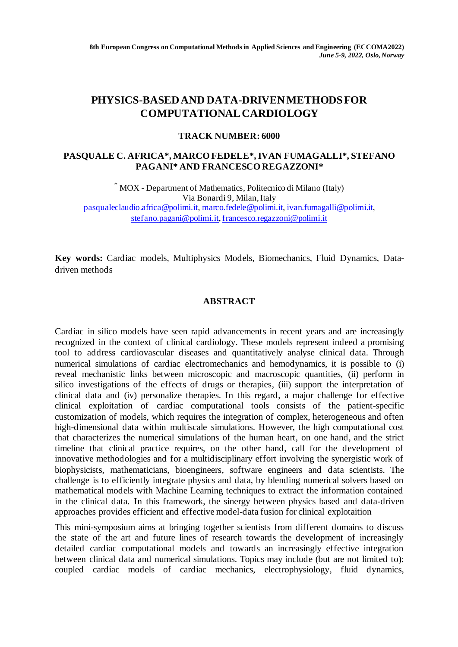# **PHYSICS-BASED AND DATA-DRIVEN METHODS FOR COMPUTATIONAL CARDIOLOGY**

# **TRACK NUMBER: 6000**

# **PASQUALE C. AFRICA\*, MARCO FEDELE\*, IVAN FUMAGALLI\*, STEFANO PAGANI\* AND FRANCESCO REGAZZONI\***

\* MOX - Department of Mathematics, Politecnico di Milano (Italy) Via Bonardi 9, Milan, Italy pasqualeclaudio.africa@polimi.it, marco.fedele@polimi.it, ivan.fumagalli@polimi.it, stefano.pagani@polimi.it, francesco.regazzoni@polimi.it

**Key words:** Cardiac models, Multiphysics Models, Biomechanics, Fluid Dynamics, Datadriven methods

# **ABSTRACT**

Cardiac in silico models have seen rapid advancements in recent years and are increasingly recognized in the context of clinical cardiology. These models represent indeed a promising tool to address cardiovascular diseases and quantitatively analyse clinical data. Through numerical simulations of cardiac electromechanics and hemodynamics, it is possible to (i) reveal mechanistic links between microscopic and macroscopic quantities, (ii) perform in silico investigations of the effects of drugs or therapies, (iii) support the interpretation of clinical data and (iv) personalize therapies. In this regard, a major challenge for effective clinical exploitation of cardiac computational tools consists of the patient-specific customization of models, which requires the integration of complex, heterogeneous and often high-dimensional data within multiscale simulations. However, the high computational cost that characterizes the numerical simulations of the human heart, on one hand, and the strict timeline that clinical practice requires, on the other hand, call for the development of innovative methodologies and for a multidisciplinary effort involving the synergistic work of biophysicists, mathematicians, bioengineers, software engineers and data scientists. The challenge is to efficiently integrate physics and data, by blending numerical solvers based on mathematical models with Machine Learning techniques to extract the information contained in the clinical data. In this framework, the sinergy between physics based and data-driven approaches provides efficient and effective model-data fusion for clinical explotaition

This mini-symposium aims at bringing together scientists from different domains to discuss the state of the art and future lines of research towards the development of increasingly detailed cardiac computational models and towards an increasingly effective integration between clinical data and numerical simulations. Topics may include (but are not limited to): coupled cardiac models of cardiac mechanics, electrophysiology, fluid dynamics,